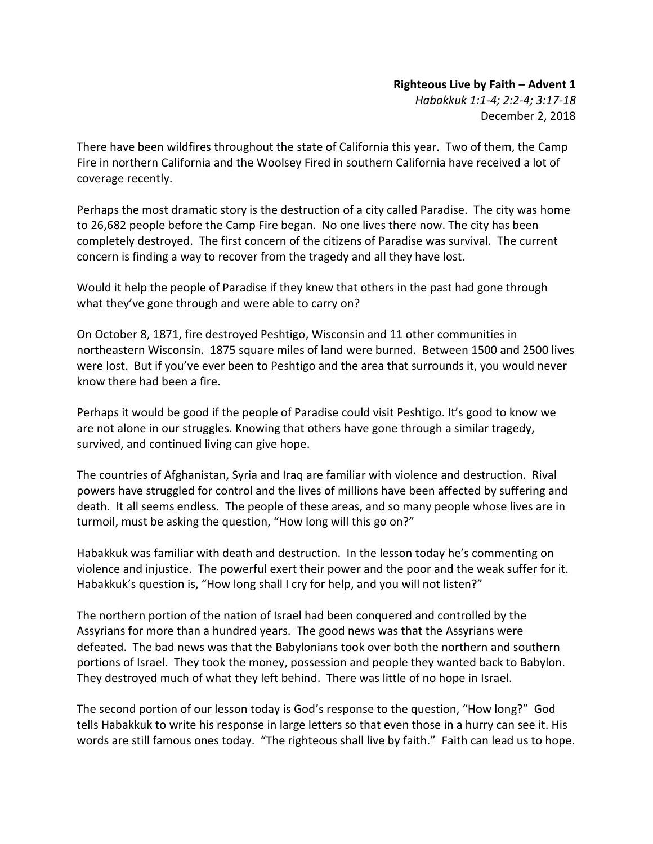## **Righteous Live by Faith – Advent 1**

*Habakkuk 1:1-4; 2:2-4; 3:17-18* December 2, 2018

There have been wildfires throughout the state of California this year. Two of them, the Camp Fire in northern California and the Woolsey Fired in southern California have received a lot of coverage recently.

Perhaps the most dramatic story is the destruction of a city called Paradise. The city was home to 26,682 people before the Camp Fire began. No one lives there now. The city has been completely destroyed. The first concern of the citizens of Paradise was survival. The current concern is finding a way to recover from the tragedy and all they have lost.

Would it help the people of Paradise if they knew that others in the past had gone through what they've gone through and were able to carry on?

On October 8, 1871, fire destroyed Peshtigo, Wisconsin and 11 other communities in northeastern Wisconsin. 1875 square miles of land were burned. Between 1500 and 2500 lives were lost. But if you've ever been to Peshtigo and the area that surrounds it, you would never know there had been a fire.

Perhaps it would be good if the people of Paradise could visit Peshtigo. It's good to know we are not alone in our struggles. Knowing that others have gone through a similar tragedy, survived, and continued living can give hope.

The countries of Afghanistan, Syria and Iraq are familiar with violence and destruction. Rival powers have struggled for control and the lives of millions have been affected by suffering and death. It all seems endless. The people of these areas, and so many people whose lives are in turmoil, must be asking the question, "How long will this go on?"

Habakkuk was familiar with death and destruction. In the lesson today he's commenting on violence and injustice. The powerful exert their power and the poor and the weak suffer for it. Habakkuk's question is, "How long shall I cry for help, and you will not listen?"

The northern portion of the nation of Israel had been conquered and controlled by the Assyrians for more than a hundred years. The good news was that the Assyrians were defeated. The bad news was that the Babylonians took over both the northern and southern portions of Israel. They took the money, possession and people they wanted back to Babylon. They destroyed much of what they left behind. There was little of no hope in Israel.

The second portion of our lesson today is God's response to the question, "How long?" God tells Habakkuk to write his response in large letters so that even those in a hurry can see it. His words are still famous ones today. "The righteous shall live by faith." Faith can lead us to hope.